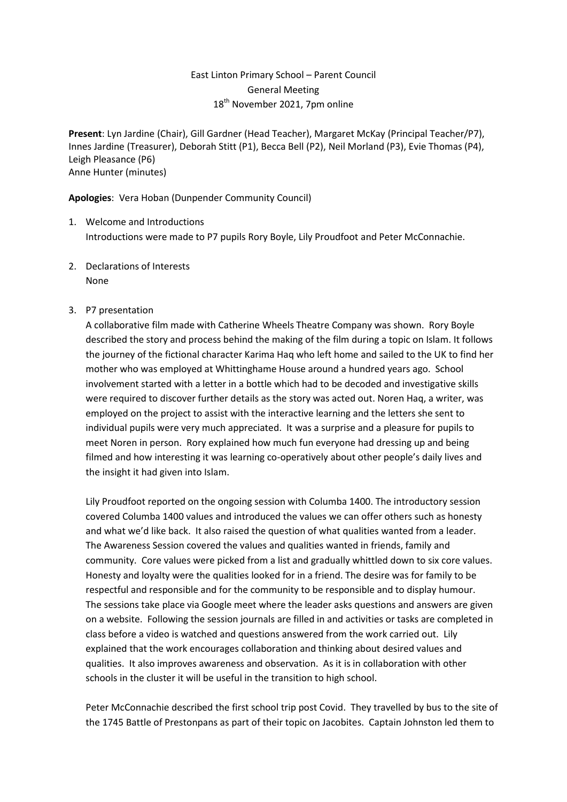# East Linton Primary School – Parent Council General Meeting 18<sup>th</sup> November 2021, 7pm online

**Present**: Lyn Jardine (Chair), Gill Gardner (Head Teacher), Margaret McKay (Principal Teacher/P7), Innes Jardine (Treasurer), Deborah Stitt (P1), Becca Bell (P2), Neil Morland (P3), Evie Thomas (P4), Leigh Pleasance (P6) Anne Hunter (minutes)

**Apologies**: Vera Hoban (Dunpender Community Council)

- 1. Welcome and Introductions Introductions were made to P7 pupils Rory Boyle, Lily Proudfoot and Peter McConnachie.
- 2. Declarations of Interests None

## 3. P7 presentation

A collaborative film made with Catherine Wheels Theatre Company was shown. Rory Boyle described the story and process behind the making of the film during a topic on Islam. It follows the journey of the fictional character Karima Haq who left home and sailed to the UK to find her mother who was employed at Whittinghame House around a hundred years ago. School involvement started with a letter in a bottle which had to be decoded and investigative skills were required to discover further details as the story was acted out. Noren Haq, a writer, was employed on the project to assist with the interactive learning and the letters she sent to individual pupils were very much appreciated. It was a surprise and a pleasure for pupils to meet Noren in person. Rory explained how much fun everyone had dressing up and being filmed and how interesting it was learning co-operatively about other people's daily lives and the insight it had given into Islam.

Lily Proudfoot reported on the ongoing session with Columba 1400. The introductory session covered Columba 1400 values and introduced the values we can offer others such as honesty and what we'd like back. It also raised the question of what qualities wanted from a leader. The Awareness Session covered the values and qualities wanted in friends, family and community. Core values were picked from a list and gradually whittled down to six core values. Honesty and loyalty were the qualities looked for in a friend. The desire was for family to be respectful and responsible and for the community to be responsible and to display humour. The sessions take place via Google meet where the leader asks questions and answers are given on a website. Following the session journals are filled in and activities or tasks are completed in class before a video is watched and questions answered from the work carried out. Lily explained that the work encourages collaboration and thinking about desired values and qualities. It also improves awareness and observation. As it is in collaboration with other schools in the cluster it will be useful in the transition to high school.

Peter McConnachie described the first school trip post Covid. They travelled by bus to the site of the 1745 Battle of Prestonpans as part of their topic on Jacobites. Captain Johnston led them to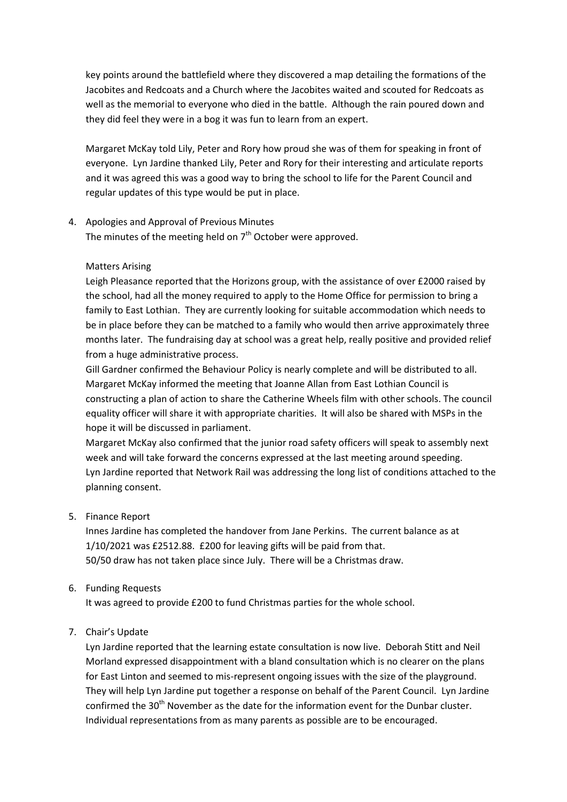key points around the battlefield where they discovered a map detailing the formations of the Jacobites and Redcoats and a Church where the Jacobites waited and scouted for Redcoats as well as the memorial to everyone who died in the battle. Although the rain poured down and they did feel they were in a bog it was fun to learn from an expert.

Margaret McKay told Lily, Peter and Rory how proud she was of them for speaking in front of everyone. Lyn Jardine thanked Lily, Peter and Rory for their interesting and articulate reports and it was agreed this was a good way to bring the school to life for the Parent Council and regular updates of this type would be put in place.

#### 4. Apologies and Approval of Previous Minutes

The minutes of the meeting held on  $7<sup>th</sup>$  October were approved.

### Matters Arising

Leigh Pleasance reported that the Horizons group, with the assistance of over £2000 raised by the school, had all the money required to apply to the Home Office for permission to bring a family to East Lothian. They are currently looking for suitable accommodation which needs to be in place before they can be matched to a family who would then arrive approximately three months later. The fundraising day at school was a great help, really positive and provided relief from a huge administrative process.

Gill Gardner confirmed the Behaviour Policy is nearly complete and will be distributed to all. Margaret McKay informed the meeting that Joanne Allan from East Lothian Council is constructing a plan of action to share the Catherine Wheels film with other schools. The council equality officer will share it with appropriate charities. It will also be shared with MSPs in the hope it will be discussed in parliament.

Margaret McKay also confirmed that the junior road safety officers will speak to assembly next week and will take forward the concerns expressed at the last meeting around speeding. Lyn Jardine reported that Network Rail was addressing the long list of conditions attached to the planning consent.

## 5. Finance Report

Innes Jardine has completed the handover from Jane Perkins. The current balance as at 1/10/2021 was £2512.88. £200 for leaving gifts will be paid from that. 50/50 draw has not taken place since July. There will be a Christmas draw.

## 6. Funding Requests

It was agreed to provide £200 to fund Christmas parties for the whole school.

## 7. Chair's Update

Lyn Jardine reported that the learning estate consultation is now live. Deborah Stitt and Neil Morland expressed disappointment with a bland consultation which is no clearer on the plans for East Linton and seemed to mis-represent ongoing issues with the size of the playground. They will help Lyn Jardine put together a response on behalf of the Parent Council. Lyn Jardine confirmed the 30<sup>th</sup> November as the date for the information event for the Dunbar cluster. Individual representations from as many parents as possible are to be encouraged.